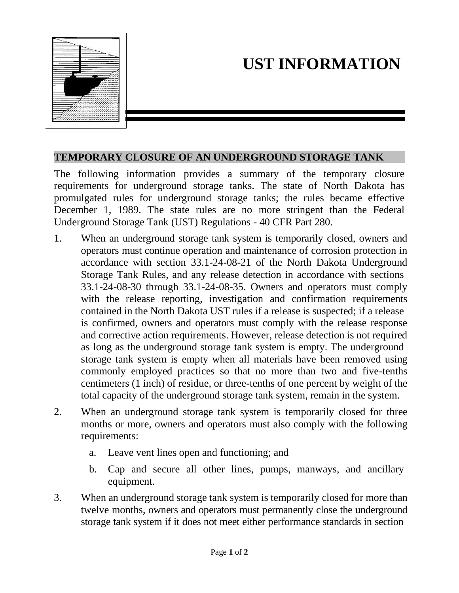

## **UST INFORMATION**

## **TEMPORARY CLOSURE OF AN UNDERGROUND STORAGE TANK**

The following information provides a summary of the temporary closure requirements for underground storage tanks. The state of North Dakota has promulgated rules for underground storage tanks; the rules became effective December 1, 1989. The state rules are no more stringent than the Federal Underground Storage Tank (UST) Regulations - 40 CFR Part 280.

- 1. When an underground storage tank system is temporarily closed, owners and operators must continue operation and maintenance of corrosion protection in accordance with section 33.1-24-08-21 of the North Dakota Underground Storage Tank Rules, and any release detection in accordance with sections 33.1-24-08-30 through 33.1-24-08-35. Owners and operators must comply with the release reporting, investigation and confirmation requirements contained in the North Dakota UST rules if a release is suspected; if a release is confirmed, owners and operators must comply with the release response and corrective action requirements. However, release detection is not required as long as the underground storage tank system is empty. The underground storage tank system is empty when all materials have been removed using commonly employed practices so that no more than two and five-tenths centimeters (1 inch) of residue, or three-tenths of one percent by weight of the total capacity of the underground storage tank system, remain in the system.
- 2. When an underground storage tank system is temporarily closed for three months or more, owners and operators must also comply with the following requirements:
	- a. Leave vent lines open and functioning; and
	- b. Cap and secure all other lines, pumps, manways, and ancillary equipment.
- 3. When an underground storage tank system is temporarily closed for more than twelve months, owners and operators must permanently close the underground storage tank system if it does not meet either performance standards in section